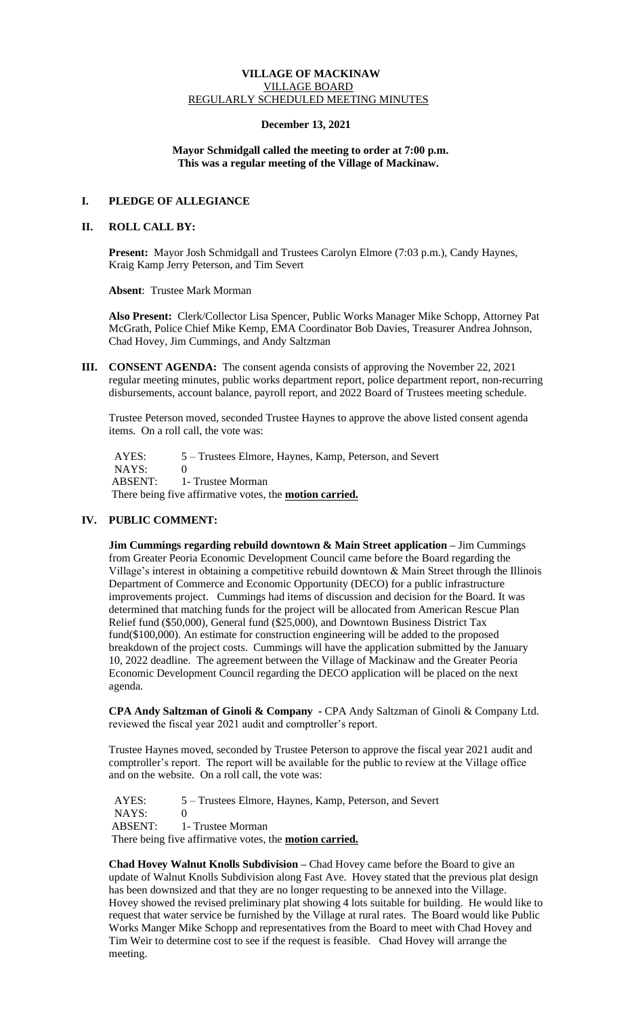### **VILLAGE OF MACKINAW** VILLAGE BOARD REGULARLY SCHEDULED MEETING MINUTES

### **December 13, 2021**

### **Mayor Schmidgall called the meeting to order at 7:00 p.m. This was a regular meeting of the Village of Mackinaw.**

## **I. PLEDGE OF ALLEGIANCE**

#### **II. ROLL CALL BY:**

**Present:** Mayor Josh Schmidgall and Trustees Carolyn Elmore (7:03 p.m.), Candy Haynes, Kraig Kamp Jerry Peterson, and Tim Severt

 **Absent**: Trustee Mark Morman

**Also Present:** Clerk/Collector Lisa Spencer, Public Works Manager Mike Schopp, Attorney Pat McGrath, Police Chief Mike Kemp, EMA Coordinator Bob Davies, Treasurer Andrea Johnson, Chad Hovey, Jim Cummings, and Andy Saltzman

**III. CONSENT AGENDA:** The consent agenda consists of approving the November 22, 2021 regular meeting minutes, public works department report, police department report, non-recurring disbursements, account balance, payroll report, and 2022 Board of Trustees meeting schedule.

Trustee Peterson moved, seconded Trustee Haynes to approve the above listed consent agenda items. On a roll call, the vote was:

AYES: 5 – Trustees Elmore, Haynes, Kamp, Peterson, and Severt NAYS: 0 ABSENT: 1- Trustee Morman There being five affirmative votes, the **motion carried.**

## **IV. PUBLIC COMMENT:**

**Jim Cummings regarding rebuild downtown & Main Street application –** Jim Cummings from Greater Peoria Economic Development Council came before the Board regarding the Village's interest in obtaining a competitive rebuild downtown & Main Street through the Illinois Department of Commerce and Economic Opportunity (DECO) for a public infrastructure improvements project. Cummings had items of discussion and decision for the Board. It was determined that matching funds for the project will be allocated from American Rescue Plan Relief fund (\$50,000), General fund (\$25,000), and Downtown Business District Tax fund(\$100,000). An estimate for construction engineering will be added to the proposed breakdown of the project costs. Cummings will have the application submitted by the January 10, 2022 deadline. The agreement between the Village of Mackinaw and the Greater Peoria Economic Development Council regarding the DECO application will be placed on the next agenda.

**CPA Andy Saltzman of Ginoli & Company -** CPA Andy Saltzman of Ginoli & Company Ltd. reviewed the fiscal year 2021 audit and comptroller's report.

Trustee Haynes moved, seconded by Trustee Peterson to approve the fiscal year 2021 audit and comptroller's report. The report will be available for the public to review at the Village office and on the website. On a roll call, the vote was:

 AYES: 5 – Trustees Elmore, Haynes, Kamp, Peterson, and Severt NAYS: 0 ABSENT: 1- Trustee Morman There being five affirmative votes, the **motion carried.**

**Chad Hovey Walnut Knolls Subdivision –** Chad Hovey came before the Board to give an update of Walnut Knolls Subdivision along Fast Ave. Hovey stated that the previous plat design has been downsized and that they are no longer requesting to be annexed into the Village. Hovey showed the revised preliminary plat showing 4 lots suitable for building. He would like to request that water service be furnished by the Village at rural rates. The Board would like Public Works Manger Mike Schopp and representatives from the Board to meet with Chad Hovey and Tim Weir to determine cost to see if the request is feasible. Chad Hovey will arrange the meeting.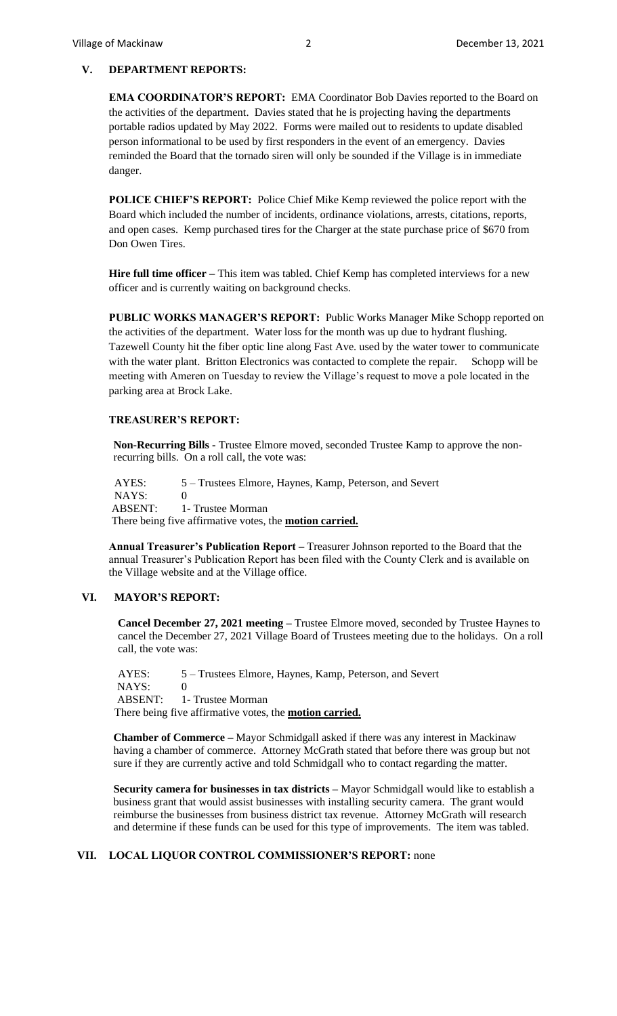### **V. DEPARTMENT REPORTS:**

**EMA COORDINATOR'S REPORT:** EMA Coordinator Bob Davies reported to the Board on the activities of the department. Davies stated that he is projecting having the departments portable radios updated by May 2022. Forms were mailed out to residents to update disabled person informational to be used by first responders in the event of an emergency. Davies reminded the Board that the tornado siren will only be sounded if the Village is in immediate danger.

**POLICE CHIEF'S REPORT:** Police Chief Mike Kemp reviewed the police report with the Board which included the number of incidents, ordinance violations, arrests, citations, reports, and open cases. Kemp purchased tires for the Charger at the state purchase price of \$670 from Don Owen Tires.

**Hire full time officer –** This item was tabled. Chief Kemp has completed interviews for a new officer and is currently waiting on background checks.

**PUBLIC WORKS MANAGER'S REPORT:** Public Works Manager Mike Schopp reported on the activities of the department. Water loss for the month was up due to hydrant flushing. Tazewell County hit the fiber optic line along Fast Ave. used by the water tower to communicate with the water plant. Britton Electronics was contacted to complete the repair. Schopp will be meeting with Ameren on Tuesday to review the Village's request to move a pole located in the parking area at Brock Lake.

# **TREASURER'S REPORT:**

**Non-Recurring Bills -** Trustee Elmore moved, seconded Trustee Kamp to approve the nonrecurring bills. On a roll call, the vote was:

 AYES: 5 – Trustees Elmore, Haynes, Kamp, Peterson, and Severt NAYS: 0 ABSENT: 1- Trustee Morman There being five affirmative votes, the **motion carried.**

**Annual Treasurer's Publication Report –** Treasurer Johnson reported to the Board that the annual Treasurer's Publication Report has been filed with the County Clerk and is available on the Village website and at the Village office.

# **VI. MAYOR'S REPORT:**

**Cancel December 27, 2021 meeting –** Trustee Elmore moved, seconded by Trustee Haynes to cancel the December 27, 2021 Village Board of Trustees meeting due to the holidays. On a roll call, the vote was:

AYES:  $5 -$  Trustees Elmore, Haynes, Kamp, Peterson, and Severt NAYS: 0 ABSENT: 1- Trustee Morman There being five affirmative votes, the **motion carried.**

**Chamber of Commerce –** Mayor Schmidgall asked if there was any interest in Mackinaw having a chamber of commerce. Attorney McGrath stated that before there was group but not sure if they are currently active and told Schmidgall who to contact regarding the matter.

**Security camera for businesses in tax districts –** Mayor Schmidgall would like to establish a business grant that would assist businesses with installing security camera. The grant would reimburse the businesses from business district tax revenue. Attorney McGrath will research and determine if these funds can be used for this type of improvements. The item was tabled.

## **VII. LOCAL LIQUOR CONTROL COMMISSIONER'S REPORT:** none